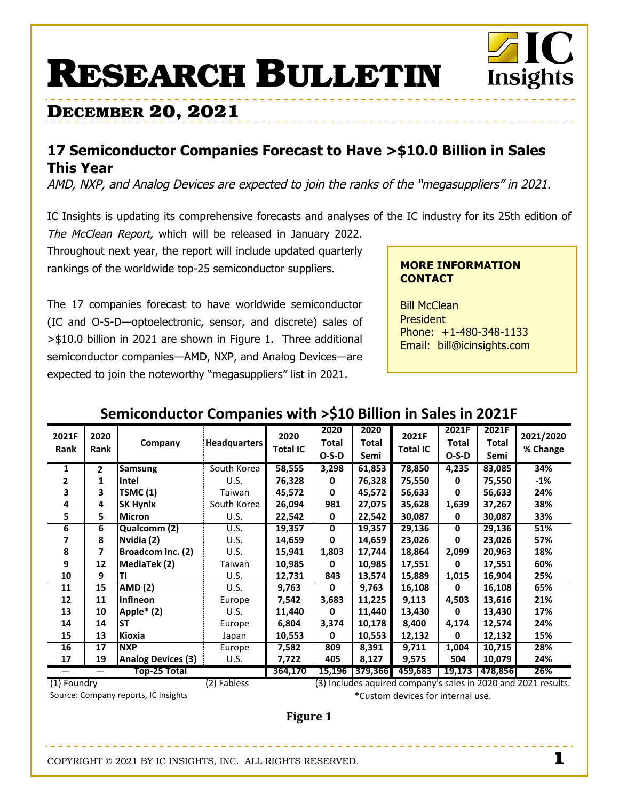# **RESEARCH BULLETIN**

## **DECEMBER 20, 2021**

## 17 Semiconductor Companies Forecast to Have > \$10.0 Billion in Sales **This Year**

AMD, NXP, and Analog Devices are expected to join the ranks of the "megasuppliers" in 2021.

IC Insights is updating its comprehensive forecasts and analyses of the IC industry for its 25th edition of

The McClean Report, which will be released in January 2022. Throughout next year, the report will include updated quarterly rankings of the worldwide top-25 semiconductor suppliers.

The 17 companies forecast to have worldwide semiconductor (IC and O-S-D-optoelectronic, sensor, and discrete) sales of >\$10.0 billion in 2021 are shown in Figure 1. Three additional semiconductor companies-AMD, NXP, and Analog Devices-are expected to join the noteworthy "megasuppliers" list in 2021.

#### **MORE INFORMATION CONTACT**

Insights

**Bill McClean President** Phone: +1-480-348-1133 Email: bill@icinsights.com

### Semiconductor Companies with > \$10 Billion in Sales in 2021F

| 2021F<br>Rank | 2020<br>Rank | Company                   | <b>Headquarters</b> | 2020<br>Total IC | 2020<br>Total<br>$O-S-D$ | 2020<br>Total<br>Semi | 2021F<br><b>Total IC</b> | 2021F<br>Total<br>$O-S-D$ | 2021F<br>Total<br>Semi | 2021/2020<br>% Change |
|---------------|--------------|---------------------------|---------------------|------------------|--------------------------|-----------------------|--------------------------|---------------------------|------------------------|-----------------------|
| 1             | $\mathbf{2}$ | Samsung                   | South Korea         | 58,555           | 3,298                    | 61,853                | 78,850                   | 4,235                     | 83,085                 | 34%                   |
| 2             | 1            | Intel                     | U.S.                | 76,328           | 0                        | 76,328                | 75,550                   | 0                         | 75,550                 | -1%                   |
| 3             | 3            | TSMC (1)                  | Taiwan              | 45,572           | 0                        | 45,572                | 56,633                   | 0                         | 56,633                 | 24%                   |
| 4             | 4            | <b>SK Hynix</b>           | South Korea         | 26,094           | 981                      | 27,075                | 35,628                   | 1,639                     | 37,267                 | 38%                   |
| 5             | 5.           | <b>Micron</b>             | U.S.                | 22,542           | 0                        | 22,542                | 30,087                   | 0                         | 30,087                 | 33%                   |
| 6             | 6            | Qualcomm (2)              | U.S.                | 19,357           | $\mathbf{0}$             | 19,357                | 29,136                   | $\mathbf 0$               | 29,136                 | 51%                   |
|               | 8            | Nvidia (2)                | U.S.                | 14,659           | 0                        | 14,659                | 23,026                   | 0                         | 23,026                 | 57%                   |
| 8             | 7            | Broadcom Inc. (2)         | U.S.                | 15,941           | 1,803                    | 17,744                | 18,864                   | 2,099                     | 20,963                 | 18%                   |
| 9             | 12           | MediaTek (2)              | Taiwan              | 10,985           | 0                        | 10,985                | 17,551                   | 0                         | 17,551                 | 60%                   |
| 10            | 9            | ΤI                        | U.S.                | 12,731           | 843                      | 13,574                | 15,889                   | 1,015                     | 16,904                 | 25%                   |
| 11            | 15           | <b>AMD (2)</b>            | U.S.                | 9,763            | 0                        | 9,763                 | 16,108                   | 0                         | 16,108                 | 65%                   |
| 12            | 11           | <b>Infineon</b>           | Europe              | 7,542            | 3,683                    | 11,225                | 9,113                    | 4,503                     | 13,616                 | 21%                   |
| 13            | 10           | Apple $*$ (2)             | U.S.                | 11,440           | 0                        | 11,440                | 13,430                   | 0                         | 13,430                 | 17%                   |
| 14            | 14           | <b>ST</b>                 | Europe              | 6,804            | 3,374                    | 10,178                | 8,400                    | 4,174                     | 12,574                 | 24%                   |
| 15            | 13           | Kioxia                    | Japan               | 10,553           | 0                        | 10,553                | 12,132                   | 0                         | 12,132                 | 15%                   |
| 16            | 17           | <b>NXP</b>                | Europe              | 7,582            | 809                      | 8,391                 | 9,711                    | 1,004                     | 10,715                 | 28%                   |
| 17            | 19           | <b>Analog Devices (3)</b> | U.S.                | 7,722            | 405                      | 8,127                 | 9,575                    | 504                       | 10,079                 | 24%                   |
| Top-25 Total  |              |                           |                     | 364,170          | 15,196                   | 379,366               | 459,683                  | 19,173                    | 478,856                | 26%                   |

(1) Foundry Source: Company reports, IC Insights (3) Includes aquired company's sales in 2020 and 2021 results. \*Custom devices for internal use.

**Figure 1** 

COPYRIGHT © 2021 BY IC INSIGHTS, INC. ALL RIGHTS RESERVED.

(2) Fabless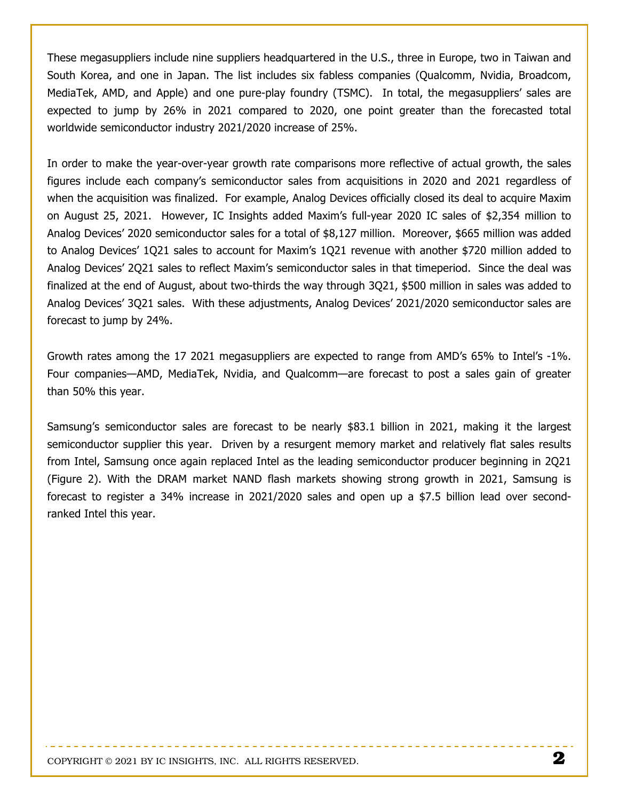These megasuppliers include nine suppliers headquartered in the U.S., three in Europe, two in Taiwan and South Korea, and one in Japan. The list includes six fabless companies (Qualcomm, Nvidia, Broadcom, MediaTek, AMD, and Apple) and one pure-play foundry (TSMC). In total, the megasuppliers' sales are expected to jump by 26% in 2021 compared to 2020, one point greater than the forecasted total worldwide semiconductor industry 2021/2020 increase of 25%.

In order to make the year-over-year growth rate comparisons more reflective of actual growth, the sales figures include each company's semiconductor sales from acquisitions in 2020 and 2021 regardless of when the acquisition was finalized. For example, Analog Devices officially closed its deal to acquire Maxim on August 25, 2021. However, IC Insights added Maxim's full-year 2020 IC sales of \$2,354 million to Analog Devices' 2020 semiconductor sales for a total of \$8,127 million. Moreover, \$665 million was added to Analog Devices' 1Q21 sales to account for Maxim's 1Q21 revenue with another \$720 million added to Analog Devices' 2Q21 sales to reflect Maxim's semiconductor sales in that timeperiod. Since the deal was finalized at the end of August, about two-thirds the way through 3Q21, \$500 million in sales was added to Analog Devices' 3Q21 sales. With these adjustments, Analog Devices' 2021/2020 semiconductor sales are forecast to jump by 24%.

Growth rates among the 17 2021 megasuppliers are expected to range from AMD's 65% to Intel's -1%. Four companies—AMD, MediaTek, Nvidia, and Qualcomm—are forecast to post a sales gain of greater than 50% this year.

Samsung's semiconductor sales are forecast to be nearly \$83.1 billion in 2021, making it the largest semiconductor supplier this year. Driven by a resurgent memory market and relatively flat sales results from Intel, Samsung once again replaced Intel as the leading semiconductor producer beginning in 2Q21 (Figure 2). With the DRAM market NAND flash markets showing strong growth in 2021, Samsung is forecast to register a 34% increase in 2021/2020 sales and open up a \$7.5 billion lead over secondranked Intel this year.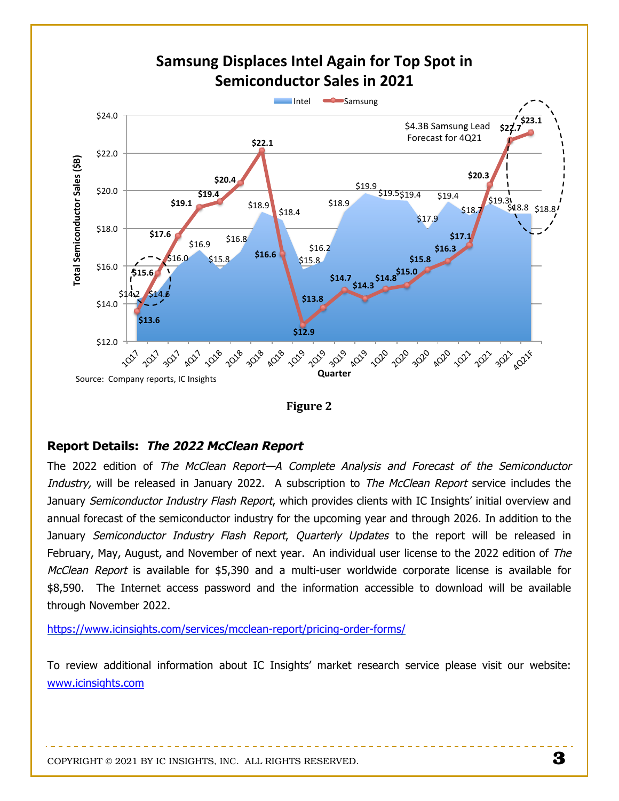

**Figure 2** 

#### **Report Details: The 2022 McClean Report**

The 2022 edition of The McClean Report-A Complete Analysis and Forecast of the Semiconductor Industry, will be released in January 2022. A subscription to *The McClean Report* service includes the January Semiconductor Industry Flash Report, which provides clients with IC Insights' initial overview and annual forecast of the semiconductor industry for the upcoming year and through 2026. In addition to the January Semiconductor Industry Flash Report, Quarterly Updates to the report will be released in February, May, August, and November of next year. An individual user license to the 2022 edition of The McClean Report is available for \$5,390 and a multi-user worldwide corporate license is available for \$8,590. The Internet access password and the information accessible to download will be available through November 2022.

https://www.icinsights.com/services/mcclean-report/pricing-order-forms/

To review additional information about IC Insights' market research service please visit our website: www.icinsights.com

COPYRIGHT © 2021 BY IC INSIGHTS, INC. ALL RIGHTS RESERVED.